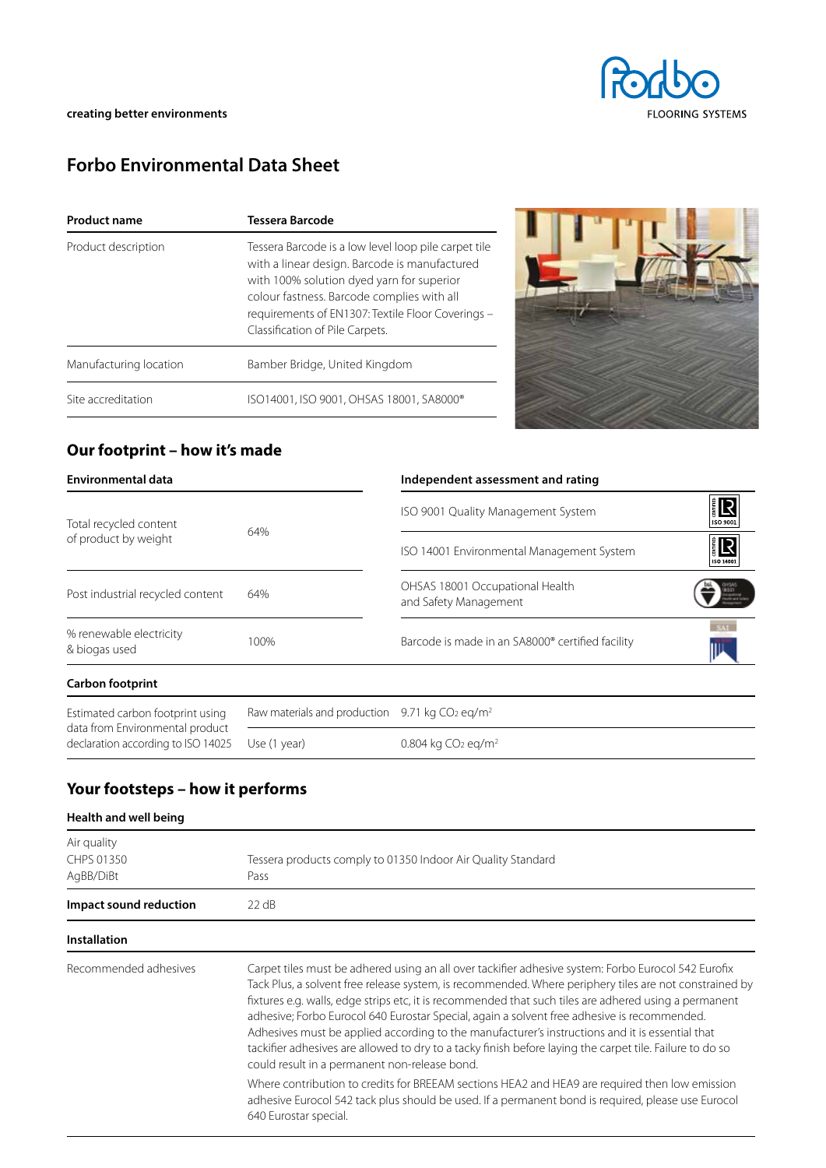

# **Forbo Environmental Data Sheet**

| <b>Product name</b>    | <b>Tessera Barcode</b>                                                                                                                                                                                                                                                                   |
|------------------------|------------------------------------------------------------------------------------------------------------------------------------------------------------------------------------------------------------------------------------------------------------------------------------------|
| Product description    | Tessera Barcode is a low level loop pile carpet tile<br>with a linear design. Barcode is manufactured<br>with 100% solution dyed yarn for superior<br>colour fastness. Barcode complies with all<br>requirements of EN1307: Textile Floor Coverings -<br>Classification of Pile Carpets. |
| Manufacturing location | Bamber Bridge, United Kingdom                                                                                                                                                                                                                                                            |
| Site accreditation     | ISO14001, ISO 9001, OHSAS 18001, SA8000®                                                                                                                                                                                                                                                 |



## **Our footprint – how it's made**

| <b>Environmental data</b>                                           |                                                              | Independent assessment and rating                        |                        |  |
|---------------------------------------------------------------------|--------------------------------------------------------------|----------------------------------------------------------|------------------------|--|
| Total recycled content<br>of product by weight                      |                                                              | ISO 9001 Quality Management System                       | <b>ER</b><br>ISO 9001  |  |
|                                                                     | 64%                                                          | ISO 14001 Environmental Management System                | <b>ER</b><br>ISO 14001 |  |
| Post industrial recycled content                                    | 64%                                                          | OHSAS 18001 Occupational Health<br>and Safety Management |                        |  |
| % renewable electricity<br>& biogas used                            | 100%                                                         | Barcode is made in an SA8000® certified facility         |                        |  |
| <b>Carbon footprint</b>                                             |                                                              |                                                          |                        |  |
| Estimated carbon footprint using<br>data from Environmental product | Raw materials and production 9.71 kg $CO2$ eg/m <sup>2</sup> |                                                          |                        |  |
| declaration according to ISO 14025                                  | Use (1 year)                                                 | 0.804 kg $CO2$ eg/m <sup>2</sup>                         |                        |  |

## **Your footsteps – how it performs**

### **Health and well being**

| Air quality<br>CHPS 01350<br>AgBB/DiBt | Tessera products comply to 01350 Indoor Air Quality Standard<br>Pass                                                                                                                                                                                                                                                                                                                                                                                                                                                                                                                                                                                                                                                                                                                                                                                                                                                   |
|----------------------------------------|------------------------------------------------------------------------------------------------------------------------------------------------------------------------------------------------------------------------------------------------------------------------------------------------------------------------------------------------------------------------------------------------------------------------------------------------------------------------------------------------------------------------------------------------------------------------------------------------------------------------------------------------------------------------------------------------------------------------------------------------------------------------------------------------------------------------------------------------------------------------------------------------------------------------|
| Impact sound reduction                 | $22 \text{ dB}$                                                                                                                                                                                                                                                                                                                                                                                                                                                                                                                                                                                                                                                                                                                                                                                                                                                                                                        |
| <b>Installation</b>                    |                                                                                                                                                                                                                                                                                                                                                                                                                                                                                                                                                                                                                                                                                                                                                                                                                                                                                                                        |
| Recommended adhesives                  | Carpet tiles must be adhered using an all over tackifier adhesive system: Forbo Eurocol 542 Eurofix<br>Tack Plus, a solvent free release system, is recommended. Where periphery tiles are not constrained by<br>fixtures e.g. walls, edge strips etc, it is recommended that such tiles are adhered using a permanent<br>adhesive; Forbo Eurocol 640 Eurostar Special, again a solvent free adhesive is recommended.<br>Adhesives must be applied according to the manufacturer's instructions and it is essential that<br>tackifier adhesives are allowed to dry to a tacky finish before laying the carpet tile. Failure to do so<br>could result in a permanent non-release bond.<br>Where contribution to credits for BREEAM sections HEA2 and HEA9 are required then low emission<br>adhesive Eurocol 542 tack plus should be used. If a permanent bond is required, please use Eurocol<br>640 Eurostar special. |